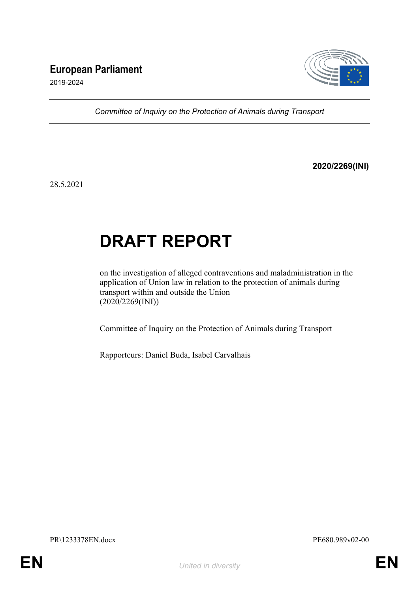## **European Parliament**



2019-2024

*Committee of Inquiry on the Protection of Animals during Transport*

#### **2020/2269(INI)**

28.5.2021

# **DRAFT REPORT**

on the investigation of alleged contraventions and maladministration in the application of Union law in relation to the protection of animals during transport within and outside the Union (2020/2269(INI))

Committee of Inquiry on the Protection of Animals during Transport

Rapporteurs: Daniel Buda, Isabel Carvalhais

PR\1233378EN.docx PE680.989v02-00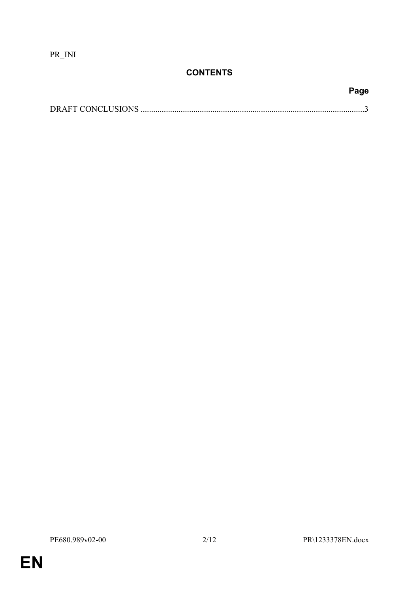PR\_INI

## **CONTENTS**

**Page**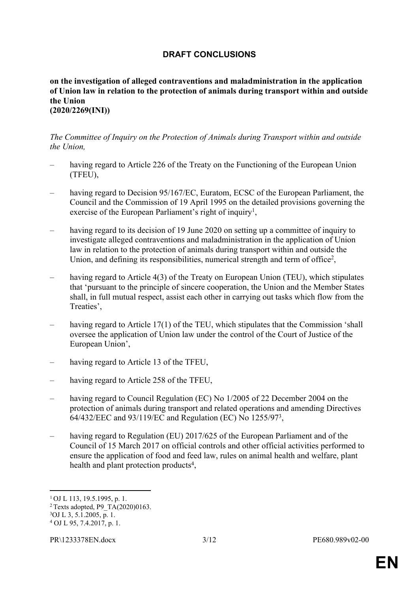### <span id="page-2-0"></span>**DRAFT CONCLUSIONS**

#### **on the investigation of alleged contraventions and maladministration in the application of Union law in relation to the protection of animals during transport within and outside the Union (2020/2269(INI))**

#### *The Committee of Inquiry on the Protection of Animals during Transport within and outside the Union,*

- *–* having regard to Article 226 of the Treaty on the Functioning of the European Union (TFEU),
- having regard to Decision 95/167/EC, Euratom, ECSC of the European Parliament, the Council and the Commission of 19 April 1995 on the detailed provisions governing the exercise of the European Parliament's right of inquiry<sup>1</sup>,
- having regard to its decision of 19 June 2020 on setting up a committee of inquiry to investigate alleged contraventions and maladministration in the application of Union law in relation to the protection of animals during transport within and outside the Union, and defining its responsibilities, numerical strength and term of office<sup>2</sup>,
- having regard to Article 4(3) of the Treaty on European Union (TEU), which stipulates that 'pursuant to the principle of sincere cooperation, the Union and the Member States shall, in full mutual respect, assist each other in carrying out tasks which flow from the Treaties',
- having regard to Article 17(1) of the TEU, which stipulates that the Commission 'shall oversee the application of Union law under the control of the Court of Justice of the European Union',
- having regard to Article 13 of the TFEU,
- having regard to Article 258 of the TFEU,
- having regard to Council Regulation (EC) No 1/2005 of 22 December 2004 on the protection of animals during transport and related operations and amending Directives 64/432/EEC and 93/119/EC and Regulation (EC) No 1255/97<sup>3</sup> ,
- having regard to Regulation (EU) 2017/625 of the European Parliament and of the Council of 15 March 2017 on official controls and other official activities performed to ensure the application of food and feed law, rules on animal health and welfare, plant health and plant protection products<sup>4</sup>,

<sup>1</sup>OJ L 113, 19.5.1995, p. 1.

<sup>&</sup>lt;sup>2</sup> Texts adopted, P9\_TA $(2020)0163$ .

<sup>3</sup>OJ L 3, 5.1.2005, p. 1.

<sup>4</sup> OJ L 95, 7.4.2017, p. 1.

PR\1233378EN.docx 3/12 PE680.989v02-00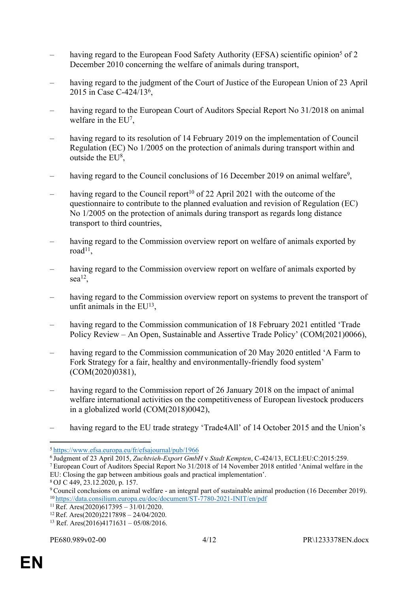- having regard to the European Food Safety Authority (EFSA) scientific opinion<sup>5</sup> of 2 December 2010 concerning the welfare of animals during transport,
- having regard to the judgment of the Court of Justice of the European Union of 23 April 2015 in Case C-424/13<sup>6</sup> ,
- having regard to the European Court of Auditors Special Report No 31/2018 on animal welfare in the EU<sup>7</sup>,
- having regard to its resolution of 14 February 2019 on the implementation of Council Regulation (EC) No 1/2005 on the protection of animals during transport within and outside the EU<sup>8</sup>,
- having regard to the Council conclusions of 16 December 2019 on animal welfare<sup>9</sup>,
- having regard to the Council report<sup>10</sup> of 22 April 2021 with the outcome of the questionnaire to contribute to the planned evaluation and revision of Regulation (EC) No 1/2005 on the protection of animals during transport as regards long distance transport to third countries,
- having regard to the Commission overview report on welfare of animals exported by  $road<sup>11</sup>$ ,
- having regard to the Commission overview report on welfare of animals exported by sea<sup>12</sup>,
- having regard to the Commission overview report on systems to prevent the transport of unfit animals in the  $EU^{13}$ ,
- having regard to the Commission communication of 18 February 2021 entitled 'Trade Policy Review – An Open, Sustainable and Assertive Trade Policy' (COM(2021)0066),
- having regard to the Commission communication of 20 May 2020 entitled 'A Farm to Fork Strategy for a fair, healthy and environmentally-friendly food system' (COM(2020)0381),
- having regard to the Commission report of 26 January 2018 on the impact of animal welfare international activities on the competitiveness of European livestock producers in a globalized world (COM(2018)0042),
- having regard to the EU trade strategy 'Trade4All' of 14 October 2015 and the Union's

<sup>5</sup><https://www.efsa.europa.eu/fr/efsajournal/pub/1966>

<sup>6</sup>Judgment of 23 April 2015, *Zuchtvieh-Export GmbH* v *Stadt Kempten*, C-424/13, ECLI:EU:C:2015:259.

<sup>7</sup>European Court of Auditors Special Report No 31/2018 of 14 November 2018 entitled 'Animal welfare in the EU: Closing the gap between ambitious goals and practical implementation'.

<sup>8</sup>OJ C 449, 23.12.2020, p. 157.

<sup>9</sup>Council conclusions on animal welfare - an integral part of sustainable animal production (16 December 2019). <sup>10</sup><https://data.consilium.europa.eu/doc/document/ST-7780-2021-INIT/en/pdf>

 $11$  Ref. Ares(2020)617395 – 31/01/2020.

<sup>&</sup>lt;sup>12</sup> Ref. Ares(2020)2217898 – 24/04/2020.

<sup>&</sup>lt;sup>13</sup> Ref. Ares(2016)4171631 – 05/08/2016.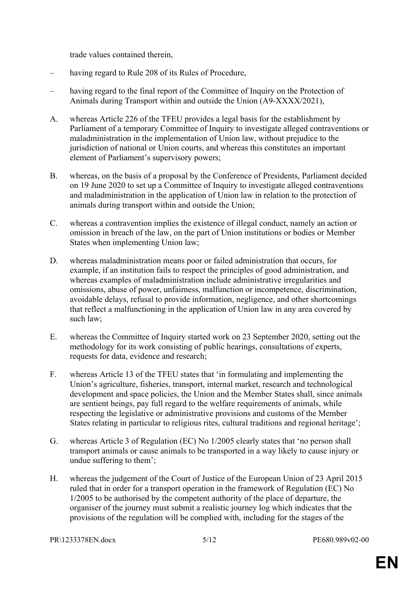trade values contained therein,

- having regard to Rule 208 of its Rules of Procedure,
- having regard to the final report of the Committee of Inquiry on the Protection of Animals during Transport within and outside the Union (A9-XXXX/2021),
- A. whereas Article 226 of the TFEU provides a legal basis for the establishment by Parliament of a temporary Committee of Inquiry to investigate alleged contraventions or maladministration in the implementation of Union law, without prejudice to the jurisdiction of national or Union courts, and whereas this constitutes an important element of Parliament's supervisory powers;
- B. whereas, on the basis of a proposal by the Conference of Presidents, Parliament decided on 19 June 2020 to set up a Committee of Inquiry to investigate alleged contraventions and maladministration in the application of Union law in relation to the protection of animals during transport within and outside the Union;
- C. whereas a contravention implies the existence of illegal conduct, namely an action or omission in breach of the law, on the part of Union institutions or bodies or Member States when implementing Union law;
- D. whereas maladministration means poor or failed administration that occurs, for example, if an institution fails to respect the principles of good administration, and whereas examples of maladministration include administrative irregularities and omissions, abuse of power, unfairness, malfunction or incompetence, discrimination, avoidable delays, refusal to provide information, negligence, and other shortcomings that reflect a malfunctioning in the application of Union law in any area covered by such law;
- E. whereas the Committee of Inquiry started work on 23 September 2020, setting out the methodology for its work consisting of public hearings, consultations of experts, requests for data, evidence and research;
- F. whereas Article 13 of the TFEU states that 'in formulating and implementing the Union's agriculture, fisheries, transport, internal market, research and technological development and space policies, the Union and the Member States shall, since animals are sentient beings, pay full regard to the welfare requirements of animals, while respecting the legislative or administrative provisions and customs of the Member States relating in particular to religious rites, cultural traditions and regional heritage';
- G. whereas Article 3 of Regulation (EC) No 1/2005 clearly states that 'no person shall transport animals or cause animals to be transported in a way likely to cause injury or undue suffering to them';
- H. whereas the judgement of the Court of Justice of the European Union of 23 April 2015 ruled that in order for a transport operation in the framework of Regulation (EC) No 1/2005 to be authorised by the competent authority of the place of departure, the organiser of the journey must submit a realistic journey log which indicates that the provisions of the regulation will be complied with, including for the stages of the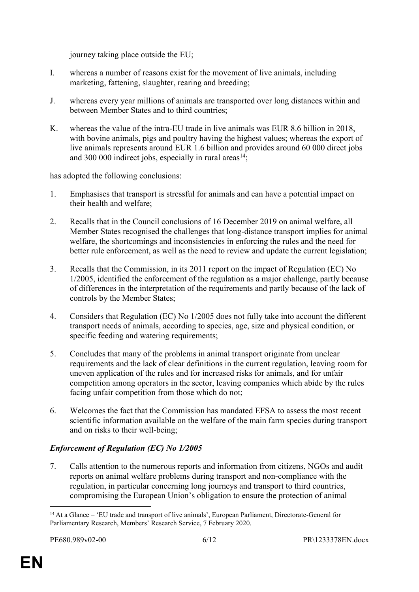journey taking place outside the EU;

- I. whereas a number of reasons exist for the movement of live animals, including marketing, fattening, slaughter, rearing and breeding;
- J. whereas every year millions of animals are transported over long distances within and between Member States and to third countries;
- K. whereas the value of the intra-EU trade in live animals was EUR 8.6 billion in 2018, with bovine animals, pigs and poultry having the highest values; whereas the export of live animals represents around EUR 1.6 billion and provides around 60 000 direct jobs and 300 000 indirect jobs, especially in rural areas<sup>14</sup>:

has adopted the following conclusions:

- 1. Emphasises that transport is stressful for animals and can have a potential impact on their health and welfare;
- 2. Recalls that in the Council conclusions of 16 December 2019 on animal welfare, all Member States recognised the challenges that long-distance transport implies for animal welfare, the shortcomings and inconsistencies in enforcing the rules and the need for better rule enforcement, as well as the need to review and update the current legislation;
- 3. Recalls that the Commission, in its 2011 report on the impact of Regulation (EC) No 1/2005, identified the enforcement of the regulation as a major challenge, partly because of differences in the interpretation of the requirements and partly because of the lack of controls by the Member States;
- 4. Considers that Regulation (EC) No 1/2005 does not fully take into account the different transport needs of animals, according to species, age, size and physical condition, or specific feeding and watering requirements;
- 5. Concludes that many of the problems in animal transport originate from unclear requirements and the lack of clear definitions in the current regulation, leaving room for uneven application of the rules and for increased risks for animals, and for unfair competition among operators in the sector, leaving companies which abide by the rules facing unfair competition from those which do not;
- 6. Welcomes the fact that the Commission has mandated EFSA to assess the most recent scientific information available on the welfare of the main farm species during transport and on risks to their well-being;

#### *Enforcement of Regulation (EC) No 1/2005*

7. Calls attention to the numerous reports and information from citizens, NGOs and audit reports on animal welfare problems during transport and non-compliance with the regulation, in particular concerning long journeys and transport to third countries, compromising the European Union's obligation to ensure the protection of animal

<sup>14</sup>At a Glance – 'EU trade and transport of live animals', European Parliament, Directorate-General for Parliamentary Research, Members' Research Service, 7 February 2020.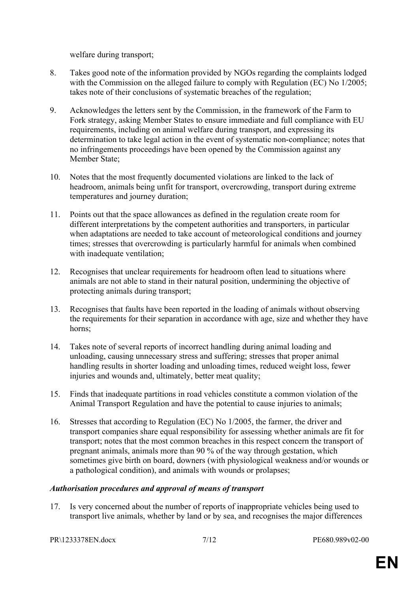welfare during transport;

- 8. Takes good note of the information provided by NGOs regarding the complaints lodged with the Commission on the alleged failure to comply with Regulation (EC) No 1/2005; takes note of their conclusions of systematic breaches of the regulation;
- 9. Acknowledges the letters sent by the Commission, in the framework of the Farm to Fork strategy, asking Member States to ensure immediate and full compliance with EU requirements, including on animal welfare during transport, and expressing its determination to take legal action in the event of systematic non-compliance; notes that no infringements proceedings have been opened by the Commission against any Member State;
- 10. Notes that the most frequently documented violations are linked to the lack of headroom, animals being unfit for transport, overcrowding, transport during extreme temperatures and journey duration;
- 11. Points out that the space allowances as defined in the regulation create room for different interpretations by the competent authorities and transporters, in particular when adaptations are needed to take account of meteorological conditions and journey times; stresses that overcrowding is particularly harmful for animals when combined with inadequate ventilation;
- 12. Recognises that unclear requirements for headroom often lead to situations where animals are not able to stand in their natural position, undermining the objective of protecting animals during transport;
- 13. Recognises that faults have been reported in the loading of animals without observing the requirements for their separation in accordance with age, size and whether they have horns;
- 14. Takes note of several reports of incorrect handling during animal loading and unloading, causing unnecessary stress and suffering; stresses that proper animal handling results in shorter loading and unloading times, reduced weight loss, fewer injuries and wounds and, ultimately, better meat quality;
- 15. Finds that inadequate partitions in road vehicles constitute a common violation of the Animal Transport Regulation and have the potential to cause injuries to animals;
- 16. Stresses that according to Regulation (EC) No 1/2005, the farmer, the driver and transport companies share equal responsibility for assessing whether animals are fit for transport; notes that the most common breaches in this respect concern the transport of pregnant animals, animals more than 90 % of the way through gestation, which sometimes give birth on board, downers (with physiological weakness and/or wounds or a pathological condition), and animals with wounds or prolapses;

#### *Authorisation procedures and approval of means of transport*

17. Is very concerned about the number of reports of inappropriate vehicles being used to transport live animals, whether by land or by sea, and recognises the major differences

PR\1233378EN.docx 7/12 PE680.989v02-00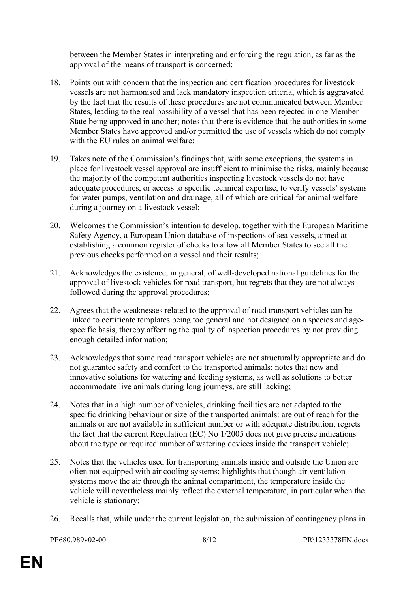between the Member States in interpreting and enforcing the regulation, as far as the approval of the means of transport is concerned;

- 18. Points out with concern that the inspection and certification procedures for livestock vessels are not harmonised and lack mandatory inspection criteria, which is aggravated by the fact that the results of these procedures are not communicated between Member States, leading to the real possibility of a vessel that has been rejected in one Member State being approved in another; notes that there is evidence that the authorities in some Member States have approved and/or permitted the use of vessels which do not comply with the EU rules on animal welfare;
- 19. Takes note of the Commission's findings that, with some exceptions, the systems in place for livestock vessel approval are insufficient to minimise the risks, mainly because the majority of the competent authorities inspecting livestock vessels do not have adequate procedures, or access to specific technical expertise, to verify vessels' systems for water pumps, ventilation and drainage, all of which are critical for animal welfare during a journey on a livestock vessel;
- 20. Welcomes the Commission's intention to develop, together with the European Maritime Safety Agency, a European Union database of inspections of sea vessels, aimed at establishing a common register of checks to allow all Member States to see all the previous checks performed on a vessel and their results;
- 21. Acknowledges the existence, in general, of well-developed national guidelines for the approval of livestock vehicles for road transport, but regrets that they are not always followed during the approval procedures;
- 22. Agrees that the weaknesses related to the approval of road transport vehicles can be linked to certificate templates being too general and not designed on a species and agespecific basis, thereby affecting the quality of inspection procedures by not providing enough detailed information;
- 23. Acknowledges that some road transport vehicles are not structurally appropriate and do not guarantee safety and comfort to the transported animals; notes that new and innovative solutions for watering and feeding systems, as well as solutions to better accommodate live animals during long journeys, are still lacking;
- 24. Notes that in a high number of vehicles, drinking facilities are not adapted to the specific drinking behaviour or size of the transported animals: are out of reach for the animals or are not available in sufficient number or with adequate distribution; regrets the fact that the current Regulation (EC) No 1/2005 does not give precise indications about the type or required number of watering devices inside the transport vehicle;
- 25. Notes that the vehicles used for transporting animals inside and outside the Union are often not equipped with air cooling systems; highlights that though air ventilation systems move the air through the animal compartment, the temperature inside the vehicle will nevertheless mainly reflect the external temperature, in particular when the vehicle is stationary;
- 26. Recalls that, while under the current legislation, the submission of contingency plans in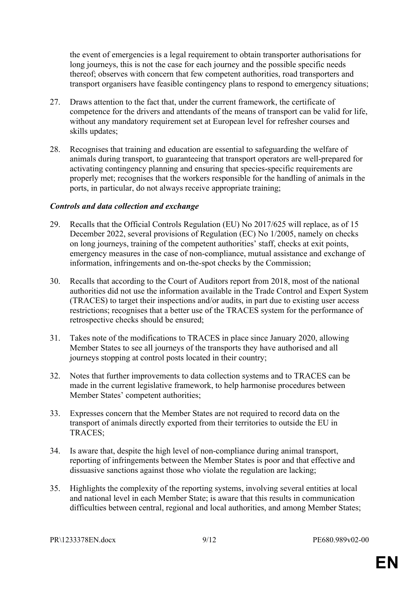the event of emergencies is a legal requirement to obtain transporter authorisations for long journeys, this is not the case for each journey and the possible specific needs thereof; observes with concern that few competent authorities, road transporters and transport organisers have feasible contingency plans to respond to emergency situations;

- 27. Draws attention to the fact that, under the current framework, the certificate of competence for the drivers and attendants of the means of transport can be valid for life, without any mandatory requirement set at European level for refresher courses and skills updates;
- 28. Recognises that training and education are essential to safeguarding the welfare of animals during transport, to guaranteeing that transport operators are well-prepared for activating contingency planning and ensuring that species-specific requirements are properly met; recognises that the workers responsible for the handling of animals in the ports, in particular, do not always receive appropriate training;

#### *Controls and data collection and exchange*

- 29. Recalls that the Official Controls Regulation (EU) No 2017/625 will replace, as of 15 December 2022, several provisions of Regulation (EC) No 1/2005, namely on checks on long journeys, training of the competent authorities' staff, checks at exit points, emergency measures in the case of non-compliance, mutual assistance and exchange of information, infringements and on-the-spot checks by the Commission;
- 30. Recalls that according to the Court of Auditors report from 2018, most of the national authorities did not use the information available in the Trade Control and Expert System (TRACES) to target their inspections and/or audits, in part due to existing user access restrictions; recognises that a better use of the TRACES system for the performance of retrospective checks should be ensured;
- 31. Takes note of the modifications to TRACES in place since January 2020, allowing Member States to see all journeys of the transports they have authorised and all journeys stopping at control posts located in their country;
- 32. Notes that further improvements to data collection systems and to TRACES can be made in the current legislative framework, to help harmonise procedures between Member States' competent authorities;
- 33. Expresses concern that the Member States are not required to record data on the transport of animals directly exported from their territories to outside the EU in TRACES;
- 34. Is aware that, despite the high level of non-compliance during animal transport, reporting of infringements between the Member States is poor and that effective and dissuasive sanctions against those who violate the regulation are lacking;
- 35. Highlights the complexity of the reporting systems, involving several entities at local and national level in each Member State; is aware that this results in communication difficulties between central, regional and local authorities, and among Member States;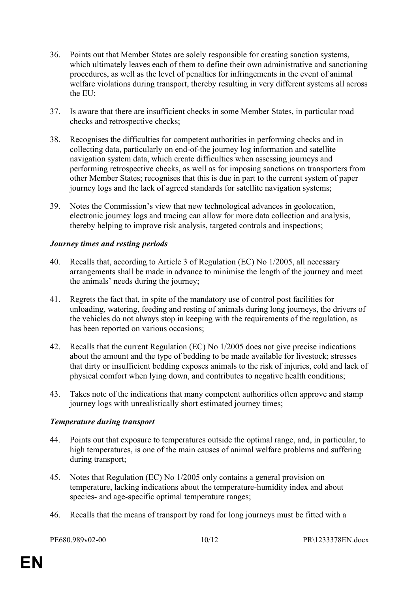- 36. Points out that Member States are solely responsible for creating sanction systems, which ultimately leaves each of them to define their own administrative and sanctioning procedures, as well as the level of penalties for infringements in the event of animal welfare violations during transport, thereby resulting in very different systems all across the EU;
- 37. Is aware that there are insufficient checks in some Member States, in particular road checks and retrospective checks;
- 38. Recognises the difficulties for competent authorities in performing checks and in collecting data, particularly on end-of-the journey log information and satellite navigation system data, which create difficulties when assessing journeys and performing retrospective checks, as well as for imposing sanctions on transporters from other Member States; recognises that this is due in part to the current system of paper journey logs and the lack of agreed standards for satellite navigation systems;
- 39. Notes the Commission's view that new technological advances in geolocation, electronic journey logs and tracing can allow for more data collection and analysis, thereby helping to improve risk analysis, targeted controls and inspections;

#### *Journey times and resting periods*

- 40. Recalls that, according to Article 3 of Regulation (EC) No 1/2005, all necessary arrangements shall be made in advance to minimise the length of the journey and meet the animals' needs during the journey;
- 41. Regrets the fact that, in spite of the mandatory use of control post facilities for unloading, watering, feeding and resting of animals during long journeys, the drivers of the vehicles do not always stop in keeping with the requirements of the regulation, as has been reported on various occasions;
- 42. Recalls that the current Regulation (EC) No 1/2005 does not give precise indications about the amount and the type of bedding to be made available for livestock; stresses that dirty or insufficient bedding exposes animals to the risk of injuries, cold and lack of physical comfort when lying down, and contributes to negative health conditions;
- 43. Takes note of the indications that many competent authorities often approve and stamp journey logs with unrealistically short estimated journey times;

#### *Temperature during transport*

- 44. Points out that exposure to temperatures outside the optimal range, and, in particular, to high temperatures, is one of the main causes of animal welfare problems and suffering during transport;
- 45. Notes that Regulation (EC) No 1/2005 only contains a general provision on temperature, lacking indications about the temperature-humidity index and about species- and age-specific optimal temperature ranges;
- 46. Recalls that the means of transport by road for long journeys must be fitted with a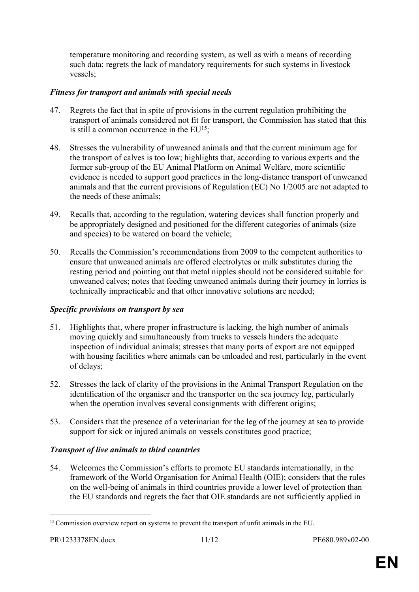temperature monitoring and recording system, as well as with a means of recording such data; regrets the lack of mandatory requirements for such systems in livestock vessels;

#### *Fitness for transport and animals with special needs*

- 47. Regrets the fact that in spite of provisions in the current regulation prohibiting the transport of animals considered not fit for transport, the Commission has stated that this is still a common occurrence in the  $EU^{15}$ :
- 48. Stresses the vulnerability of unweaned animals and that the current minimum age for the transport of calves is too low; highlights that, according to various experts and the former sub-group of the EU Animal Platform on Animal Welfare, more scientific evidence is needed to support good practices in the long-distance transport of unweaned animals and that the current provisions of Regulation (EC) No 1/2005 are not adapted to the needs of these animals;
- 49. Recalls that, according to the regulation, watering devices shall function properly and be appropriately designed and positioned for the different categories of animals (size and species) to be watered on board the vehicle;
- 50. Recalls the Commission's recommendations from 2009 to the competent authorities to ensure that unweaned animals are offered electrolytes or milk substitutes during the resting period and pointing out that metal nipples should not be considered suitable for unweaned calves; notes that feeding unweaned animals during their journey in lorries is technically impracticable and that other innovative solutions are needed;

#### *Specific provisions on transport by sea*

- 51. Highlights that, where proper infrastructure is lacking, the high number of animals moving quickly and simultaneously from trucks to vessels hinders the adequate inspection of individual animals; stresses that many ports of export are not equipped with housing facilities where animals can be unloaded and rest, particularly in the event of delays;
- 52. Stresses the lack of clarity of the provisions in the Animal Transport Regulation on the identification of the organiser and the transporter on the sea journey leg, particularly when the operation involves several consignments with different origins;
- 53. Considers that the presence of a veterinarian for the leg of the journey at sea to provide support for sick or injured animals on vessels constitutes good practice;

#### *Transport of live animals to third countries*

54. Welcomes the Commission's efforts to promote EU standards internationally, in the framework of the World Organisation for Animal Health (OIE); considers that the rules on the well-being of animals in third countries provide a lower level of protection than the EU standards and regrets the fact that OIE standards are not sufficiently applied in

<sup>&</sup>lt;sup>15</sup> Commission overview report on systems to prevent the transport of unfit animals in the EU.